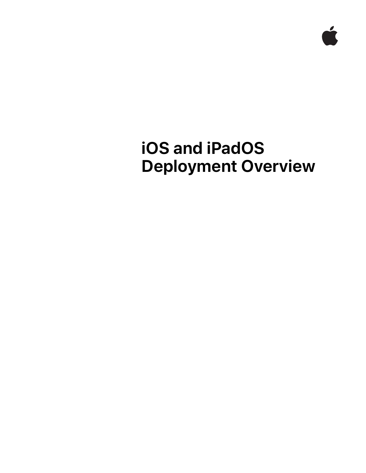

# **iOS and iPadOS Deployment Overview**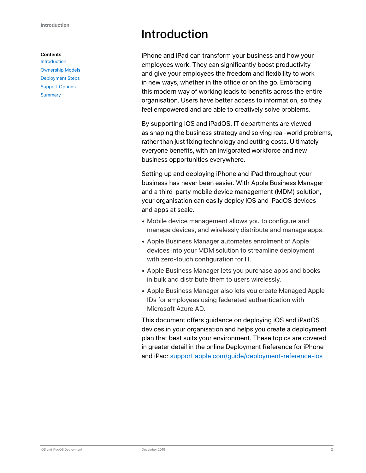#### **Contents**

[Introduction](#page-1-0) [Ownership Models](#page-2-0) [Deployment Steps](#page-5-0) [Support Options](#page-17-0) **[Summary](#page-18-0)** 

# <span id="page-1-0"></span>Introduction

iPhone and iPad can transform your business and how your employees work. They can significantly boost productivity and give your employees the freedom and flexibility to work in new ways, whether in the office or on the go. Embracing this modern way of working leads to benefits across the entire organisation. Users have better access to information, so they feel empowered and are able to creatively solve problems.

By supporting iOS and iPadOS, IT departments are viewed as shaping the business strategy and solving real-world problems, rather than just fixing technology and cutting costs. Ultimately everyone benefits, with an invigorated workforce and new business opportunities everywhere.

Setting up and deploying iPhone and iPad throughout your business has never been easier. With Apple Business Manager and a third-party mobile device management (MDM) solution, your organisation can easily deploy iOS and iPadOS devices and apps at scale.

- Mobile device management allows you to configure and manage devices, and wirelessly distribute and manage apps.
- Apple Business Manager automates enrolment of Apple devices into your MDM solution to streamline deployment with zero-touch configuration for IT.
- Apple Business Manager lets you purchase apps and books in bulk and distribute them to users wirelessly.
- Apple Business Manager also lets you create Managed Apple IDs for employees using federated authentication with Microsoft Azure AD.

This document offers guidance on deploying iOS and iPadOS devices in your organisation and helps you create a deployment plan that best suits your environment. These topics are covered in greater detail in the online Deployment Reference for iPhone and iPad: [support.apple.com/guide/deployment-reference-ios](https://support.apple.com/guide/deployment-reference-ios/welcome/web)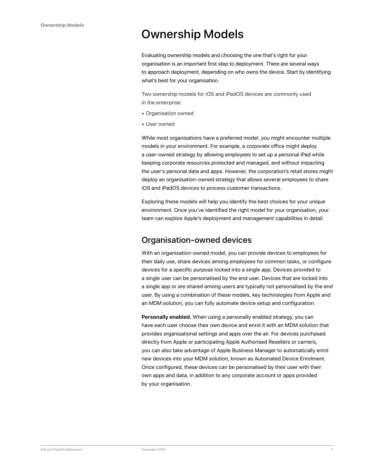# <span id="page-2-0"></span>Ownership Models

Evaluating ownership models and choosing the one that's right for your organisation is an important first step to deployment. There are several ways to approach deployment, depending on who owns the device. Start by identifying what's best for your organisation.

Two ownership models for iOS and iPadOS devices are commonly used in the enterprise:

- Organisation owned
- User owned

While most organisations have a preferred model, you might encounter multiple models in your environment. For example, a corporate office might deploy a user-owned strategy by allowing employees to set up a personal iPad while keeping corporate resources protected and managed, and without impacting the user's personal data and apps. However, the corporation's retail stores might deploy an organisation-owned strategy that allows several employees to share iOS and iPadOS devices to process customer transactions.

Exploring these models will help you identify the best choices for your unique environment. Once you've identified the right model for your organisation, your team can explore Apple's deployment and management capabilities in detail.

### Organisation-owned devices

With an organisation-owned model, you can provide devices to employees for their daily use, share devices among employees for common tasks, or configure devices for a specific purpose locked into a single app. Devices provided to a single user can be personalised by the end user. Devices that are locked into a single app or are shared among users are typically not personalised by the end user. By using a combination of these models, key technologies from Apple and an MDM solution, you can fully automate device setup and configuration.

**Personally enabled.** When using a personally enabled strategy, you can have each user choose their own device and enrol it with an MDM solution that provides organisational settings and apps over the air. For devices purchased directly from Apple or participating Apple Authorised Resellers or carriers, you can also take advantage of Apple Business Manager to automatically enrol new devices into your MDM solution, known as Automated Device Enrolment. Once configured, these devices can be personalised by their user with their own apps and data, in addition to any corporate account or apps provided by your organisation.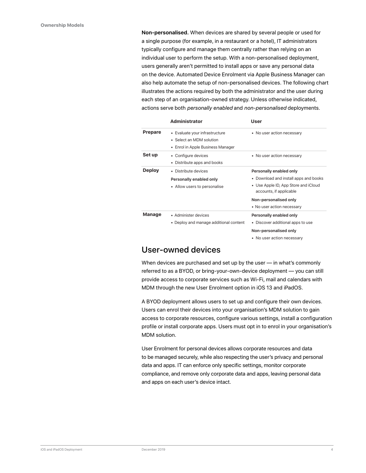**Non-personalised.** When devices are shared by several people or used for a single purpose (for example, in a restaurant or a hotel), IT administrators typically configure and manage them centrally rather than relying on an individual user to perform the setup. With a non-personalised deployment, users generally aren't permitted to install apps or save any personal data on the device. Automated Device Enrolment via Apple Business Manager can also help automate the setup of non-personalised devices. The following chart illustrates the actions required by both the administrator and the user during each step of an organisation-owned strategy. Unless otherwise indicated, actions serve both *personally enabled* and *non-personalised* deployments.

|                | <b>Administrator</b>                                                                            | <b>User</b>                                                                                                                                                                                |
|----------------|-------------------------------------------------------------------------------------------------|--------------------------------------------------------------------------------------------------------------------------------------------------------------------------------------------|
| <b>Prepare</b> | • Evaluate your infrastructure<br>• Select an MDM solution<br>• Enrol in Apple Business Manager | • No user action necessary                                                                                                                                                                 |
| Set up         | • Configure devices<br>• Distribute apps and books                                              | • No user action necessary                                                                                                                                                                 |
| <b>Deploy</b>  | • Distribute devices<br>Personally enabled only<br>• Allow users to personalise                 | Personally enabled only<br>• Download and install apps and books<br>• Use Apple ID, App Store and iCloud<br>accounts, if applicable<br>Non-personalised only<br>• No user action necessary |
| <b>Manage</b>  | • Administer devices<br>• Deploy and manage additional content                                  | Personally enabled only<br>• Discover additional apps to use<br>Non-personalised only<br>• No user action necessary                                                                        |

### User-owned devices

When devices are purchased and set up by the user — in what's commonly referred to as a BYOD, or bring-your-own-device deployment — you can still provide access to corporate services such as Wi-Fi, mail and calendars with MDM through the new User Enrolment option in iOS 13 and iPadOS.

A BYOD deployment allows users to set up and configure their own devices. Users can enrol their devices into your organisation's MDM solution to gain access to corporate resources, configure various settings, install a configuration profile or install corporate apps. Users must opt in to enrol in your organisation's MDM solution.

User Enrolment for personal devices allows corporate resources and data to be managed securely, while also respecting the user's privacy and personal data and apps. IT can enforce only specific settings, monitor corporate compliance, and remove only corporate data and apps, leaving personal data and apps on each user's device intact.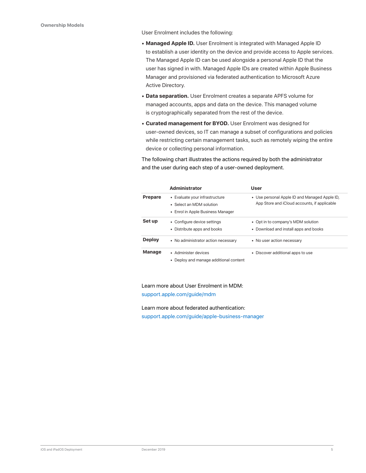User Enrolment includes the following:

- **Managed Apple ID.** User Enrolment is integrated with Managed Apple ID to establish a user identity on the device and provide access to Apple services. The Managed Apple ID can be used alongside a personal Apple ID that the user has signed in with. Managed Apple IDs are created within Apple Business Manager and provisioned via federated authentication to Microsoft Azure Active Directory.
- **Data separation.** User Enrolment creates a separate APFS volume for managed accounts, apps and data on the device. This managed volume is cryptographically separated from the rest of the device.
- **Curated management for BYOD.** User Enrolment was designed for user-owned devices, so IT can manage a subset of configurations and policies while restricting certain management tasks, such as remotely wiping the entire device or collecting personal information.

The following chart illustrates the actions required by both the administrator and the user during each step of a user-owned deployment.

|                | <b>Administrator</b>                   | User                                          |
|----------------|----------------------------------------|-----------------------------------------------|
| <b>Prepare</b> | • Evaluate your infrastructure         | • Use personal Apple ID and Managed Apple ID, |
|                | • Select an MDM solution               | App Store and iCloud accounts, if applicable  |
|                | • Enrol in Apple Business Manager      |                                               |
| Set up         | • Configure device settings            | • Opt in to company's MDM solution            |
|                | • Distribute apps and books            | • Download and install apps and books         |
| <b>Deploy</b>  | • No administrator action necessary    | • No user action necessary                    |
| <b>Manage</b>  | • Administer devices                   | Discover additional apps to use               |
|                | • Deploy and manage additional content |                                               |

Learn more about User Enrolment in MDM: [support.apple.com/guide/mdm](https://support.apple.com/guide/mdm/user-enrollment-mdm55049a109/web)

Learn more about federated authentication: [support.apple.com/guide/apple-business-manager](https://support.apple.com/guide/apple-business-manager/intro-to-federated-authentication-apdb19317543/web)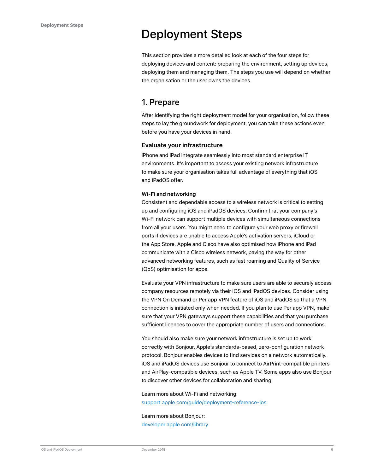# <span id="page-5-0"></span>Deployment Steps

This section provides a more detailed look at each of the four steps for deploying devices and content: preparing the environment, setting up devices, deploying them and managing them. The steps you use will depend on whether the organisation or the user owns the devices.

### 1. Prepare

After identifying the right deployment model for your organisation, follow these steps to lay the groundwork for deployment; you can take these actions even before you have your devices in hand.

#### **Evaluate your infrastructure**

iPhone and iPad integrate seamlessly into most standard enterprise IT environments. It's important to assess your existing network infrastructure to make sure your organisation takes full advantage of everything that iOS and iPadOS offer.

#### **Wi-Fi and networking**

Consistent and dependable access to a wireless network is critical to setting up and configuring iOS and iPadOS devices. Confirm that your company's Wi-Fi network can support multiple devices with simultaneous connections from all your users. You might need to configure your web proxy or firewall ports if devices are unable to access Apple's activation servers, iCloud or the App Store. Apple and Cisco have also optimised how iPhone and iPad communicate with a Cisco wireless network, paving the way for other advanced networking features, such as fast roaming and Quality of Service (QoS) optimisation for apps.

Evaluate your VPN infrastructure to make sure users are able to securely access company resources remotely via their iOS and iPadOS devices. Consider using the VPN On Demand or Per app VPN feature of iOS and iPadOS so that a VPN connection is initiated only when needed. If you plan to use Per app VPN, make sure that your VPN gateways support these capabilities and that you purchase sufficient licences to cover the appropriate number of users and connections.

You should also make sure your network infrastructure is set up to work correctly with Bonjour, Apple's standards-based, zero-configuration network protocol. Bonjour enables devices to find services on a network automatically. iOS and iPadOS devices use Bonjour to connect to AirPrint-compatible printers and AirPlay-compatible devices, such as Apple TV. Some apps also use Bonjour to discover other devices for collaboration and sharing.

Learn more about Wi-Fi and networking: [support.apple.com/guide/deployment-reference-ios](https://support.apple.com/guide/deployment-reference-ios/join-wi-fi-ior5e0df8ab7/web)

Learn more about Bonjour: [developer.apple.com/library](https://developer.apple.com/library/archive/documentation/Cocoa/Conceptual/NetServices/Introduction.html#//apple_ref/doc/uid/TP40002445-SW)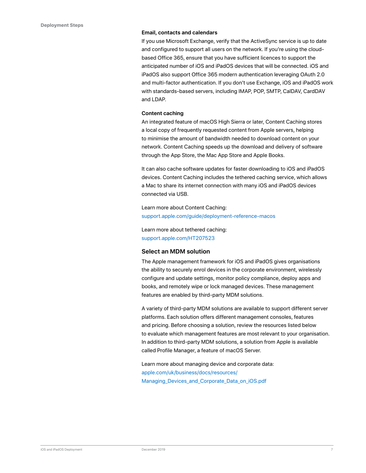#### **Email, contacts and calendars**

If you use Microsoft Exchange, verify that the ActiveSync service is up to date and configured to support all users on the network. If you're using the cloudbased Office 365, ensure that you have sufficient licences to support the anticipated number of iOS and iPadOS devices that will be connected. iOS and iPadOS also support Office 365 modern authentication leveraging OAuth 2.0 and multi-factor authentication. If you don't use Exchange, iOS and iPadOS work with standards-based servers, including IMAP, POP, SMTP, CalDAV, CardDAV and LDAP.

#### **Content caching**

An integrated feature of macOS High Sierra or later, Content Caching stores a local copy of frequently requested content from Apple servers, helping to minimise the amount of bandwidth needed to download content on your network. Content Caching speeds up the download and delivery of software through the App Store, the Mac App Store and Apple Books.

It can also cache software updates for faster downloading to iOS and iPadOS devices. Content Caching includes the tethered caching service, which allows a Mac to share its internet connection with many iOS and iPadOS devices connected via USB.

Learn more about Content Caching: [support.apple.com/guide/deployment-reference-macos](https://support.apple.com/guide/deployment-reference-macos/intro-to-content-caching-ior3da85399f/web)

Learn more about tethered caching: [support.apple.com/HT207523](http://support.apple.com/HT207523)

#### **Select an MDM solution**

The Apple management framework for iOS and iPadOS gives organisations the ability to securely enrol devices in the corporate environment, wirelessly configure and update settings, monitor policy compliance, deploy apps and books, and remotely wipe or lock managed devices. These management features are enabled by third-party MDM solutions.

A variety of third-party MDM solutions are available to support different server platforms. Each solution offers different management consoles, features and pricing. Before choosing a solution, review the resources listed below to evaluate which management features are most relevant to your organisation. In addition to third-party MDM solutions, a solution from Apple is available called Profile Manager, a feature of macOS Server.

Learn more about managing device and corporate data: [apple.com/uk/business/docs/resources/](https://www.apple.com/uk/business/docs/resources/Managing_Devices_and_Corporate_Data_on_iOS.pdf) [Managing\\_Devices\\_and\\_Corporate\\_Data\\_on\\_iOS.pdf](https://www.apple.com/uk/business/docs/resources/Managing_Devices_and_Corporate_Data_on_iOS.pdf)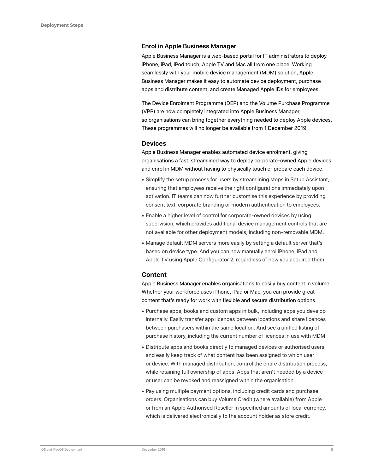#### **Enrol in Apple Business Manager**

Apple Business Manager is a web-based portal for IT administrators to deploy iPhone, iPad, iPod touch, Apple TV and Mac all from one place. Working seamlessly with your mobile device management (MDM) solution, Apple Business Manager makes it easy to automate device deployment, purchase apps and distribute content, and create Managed Apple IDs for employees.

The Device Enrolment Programme (DEP) and the Volume Purchase Programme (VPP) are now completely integrated into Apple Business Manager, so organisations can bring together everything needed to deploy Apple devices. These programmes will no longer be available from 1 December 2019.

#### **Devices**

Apple Business Manager enables automated device enrolment, giving organisations a fast, streamlined way to deploy corporate-owned Apple devices and enrol in MDM without having to physically touch or prepare each device.

- Simplify the setup process for users by streamlining steps in Setup Assistant, ensuring that employees receive the right configurations immediately upon activation. IT teams can now further customise this experience by providing consent text, corporate branding or modern authentication to employees.
- Enable a higher level of control for corporate-owned devices by using supervision, which provides additional device management controls that are not available for other deployment models, including non-removable MDM.
- Manage default MDM servers more easily by setting a default server that's based on device type. And you can now manually enrol iPhone, iPad and Apple TV using Apple Configurator 2, regardless of how you acquired them.

#### **Content**

Apple Business Manager enables organisations to easily buy content in volume. Whether your workforce uses iPhone, iPad or Mac, you can provide great content that's ready for work with flexible and secure distribution options.

- Purchase apps, books and custom apps in bulk, including apps you develop internally. Easily transfer app licences between locations and share licences between purchasers within the same location. And see a unified listing of purchase history, including the current number of licences in use with MDM.
- Distribute apps and books directly to managed devices or authorised users, and easily keep track of what content has been assigned to which user or device. With managed distribution, control the entire distribution process, while retaining full ownership of apps. Apps that aren't needed by a device or user can be revoked and reassigned within the organisation.
- Pay using multiple payment options, including credit cards and purchase orders. Organisations can buy Volume Credit (where available) from Apple or from an Apple Authorised Reseller in specified amounts of local currency, which is delivered electronically to the account holder as store credit.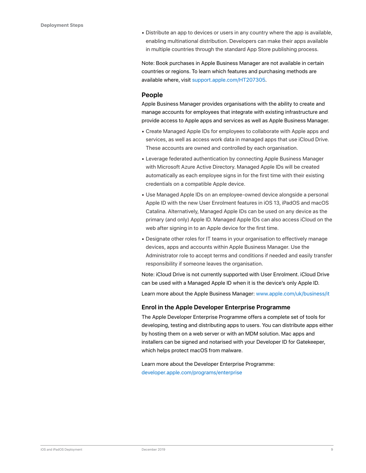• Distribute an app to devices or users in any country where the app is available, enabling multinational distribution. Developers can make their apps available in multiple countries through the standard App Store publishing process.

Note: Book purchases in Apple Business Manager are not available in certain countries or regions. To learn which features and purchasing methods are available where, visit [support.apple.com/HT207305.](https://support.apple.com/HT207305/)

#### **People**

Apple Business Manager provides organisations with the ability to create and manage accounts for employees that integrate with existing infrastructure and provide access to Apple apps and services as well as Apple Business Manager.

- Create Managed Apple IDs for employees to collaborate with Apple apps and services, as well as access work data in managed apps that use iCloud Drive. These accounts are owned and controlled by each organisation.
- Leverage federated authentication by connecting Apple Business Manager with Microsoft Azure Active Directory. Managed Apple IDs will be created automatically as each employee signs in for the first time with their existing credentials on a compatible Apple device.
- Use Managed Apple IDs on an employee-owned device alongside a personal Apple ID with the new User Enrolment features in iOS 13, iPadOS and macOS Catalina. Alternatively, Managed Apple IDs can be used on any device as the primary (and only) Apple ID. Managed Apple IDs can also access iCloud on the web after signing in to an Apple device for the first time.
- Designate other roles for IT teams in your organisation to effectively manage devices, apps and accounts within Apple Business Manager. Use the Administrator role to accept terms and conditions if needed and easily transfer responsibility if someone leaves the organisation.

Note: iCloud Drive is not currently supported with User Enrolment. iCloud Drive can be used with a Managed Apple ID when it is the device's only Apple ID.

Learn more about the Apple Business Manager: [www.apple.com/uk/business/it](http://www.apple.com/uk/business/it)

#### **Enrol in the Apple Developer Enterprise Programme**

The Apple Developer Enterprise Programme offers a complete set of tools for developing, testing and distributing apps to users. You can distribute apps either by hosting them on a web server or with an MDM solution. Mac apps and installers can be signed and notarised with your Developer ID for Gatekeeper, which helps protect macOS from malware.

Learn more about the Developer Enterprise Programme: [developer.apple.com/programs/enterprise](http://developer.apple.com/programs/enterprise)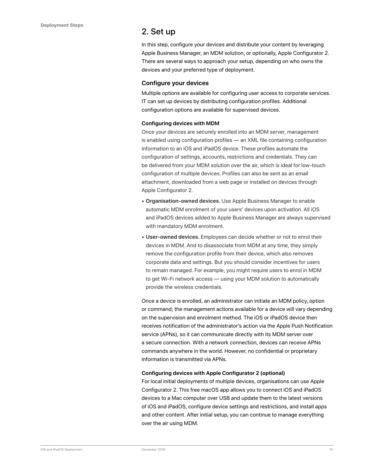### 2. Set up

In this step, configure your devices and distribute your content by leveraging Apple Business Manager, an MDM solution, or optionally, Apple Configurator 2. There are several ways to approach your setup, depending on who owns the devices and your preferred type of deployment.

#### **Configure your devices**

Multiple options are available for configuring user access to corporate services. IT can set up devices by distributing configuration profiles. Additional configuration options are available for supervised devices.

#### **Configuring devices with MDM**

Once your devices are securely enrolled into an MDM server, management is enabled using configuration profiles — an XML file containing configuration information to an iOS and iPadOS device. These profiles automate the configuration of settings, accounts, restrictions and credentials. They can be delivered from your MDM solution over the air, which is ideal for low-touch configuration of multiple devices. Profiles can also be sent as an email attachment, downloaded from a web page or installed on devices through Apple Configurator 2.

- **Organisation-owned devices.** Use Apple Business Manager to enable automatic MDM enrolment of your users' devices upon activation. All iOS and iPadOS devices added to Apple Business Manager are always supervised with mandatory MDM enrolment.
- **User-owned devices.** Employees can decide whether or not to enrol their devices in MDM. And to disassociate from MDM at any time, they simply remove the configuration profile from their device, which also removes corporate data and settings. But you should consider incentives for users to remain managed. For example, you might require users to enrol in MDM to get Wi-Fi network access — using your MDM solution to automatically provide the wireless credentials.

Once a device is enrolled, an administrator can initiate an MDM policy, option or command; the management actions available for a device will vary depending on the supervision and enrolment method. The iOS or iPadOS device then receives notification of the administrator's action via the Apple Push Notification service (APNs), so it can communicate directly with its MDM server over a secure connection. With a network connection, devices can receive APNs commands anywhere in the world. However, no confidential or proprietary information is transmitted via APNs.

#### **Configuring devices with Apple Configurator 2 (optional)**

For local initial deployments of multiple devices, organisations can use Apple Configurator 2. This free macOS app allows you to connect iOS and iPadOS devices to a Mac computer over USB and update them to the latest versions of iOS and iPadOS, configure device settings and restrictions, and install apps and other content. After initial setup, you can continue to manage everything over the air using MDM.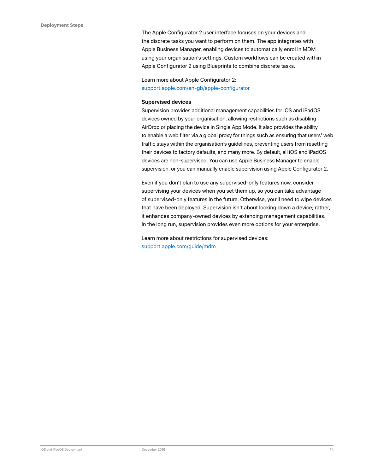The Apple Configurator 2 user interface focuses on your devices and the discrete tasks you want to perform on them. The app integrates with Apple Business Manager, enabling devices to automatically enrol in MDM using your organisation's settings. Custom workflows can be created within Apple Configurator 2 using Blueprints to combine discrete tasks.

Learn more about Apple Configurator 2: [support.apple.com/en-gb/apple-configurator](http://support.apple.com/en-gb/apple-configurator)

#### **Supervised devices**

Supervision provides additional management capabilities for iOS and iPadOS devices owned by your organisation, allowing restrictions such as disabling AirDrop or placing the device in Single App Mode. It also provides the ability to enable a web filter via a global proxy for things such as ensuring that users' web traffic stays within the organisation's guidelines, preventing users from resetting their devices to factory defaults, and many more. By default, all iOS and iPadOS devices are non-supervised. You can use Apple Business Manager to enable supervision, or you can manually enable supervision using Apple Configurator 2.

Even if you don't plan to use any supervised-only features now, consider supervising your devices when you set them up, so you can take advantage of supervised-only features in the future. Otherwise, you'll need to wipe devices that have been deployed. Supervision isn't about locking down a device; rather, it enhances company-owned devices by extending management capabilities. In the long run, supervision provides even more options for your enterprise.

Learn more about restrictions for supervised devices: [support.apple.com/guide/mdm](https://support.apple.com/guide/mdm/ios-and-ipados-restrictions-mdm0f7dd3d8/web)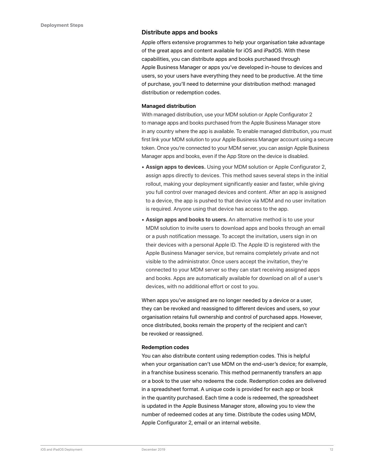#### **Distribute apps and books**

Apple offers extensive programmes to help your organisation take advantage of the great apps and content available for iOS and iPadOS. With these capabilities, you can distribute apps and books purchased through Apple Business Manager or apps you've developed in-house to devices and users, so your users have everything they need to be productive. At the time of purchase, you'll need to determine your distribution method: managed distribution or redemption codes.

#### **Managed distribution**

With managed distribution, use your MDM solution or Apple Configurator 2 to manage apps and books purchased from the Apple Business Manager store in any country where the app is available. To enable managed distribution, you must first link your MDM solution to your Apple Business Manager account using a secure token. Once you're connected to your MDM server, you can assign Apple Business Manager apps and books, even if the App Store on the device is disabled.

- **Assign apps to devices.** Using your MDM solution or Apple Configurator 2, assign apps directly to devices. This method saves several steps in the initial rollout, making your deployment significantly easier and faster, while giving you full control over managed devices and content. After an app is assigned to a device, the app is pushed to that device via MDM and no user invitation is required. Anyone using that device has access to the app.
- **Assign apps and books to users.** An alternative method is to use your MDM solution to invite users to download apps and books through an email or a push notification message. To accept the invitation, users sign in on their devices with a personal Apple ID. The Apple ID is registered with the Apple Business Manager service, but remains completely private and not visible to the administrator. Once users accept the invitation, they're connected to your MDM server so they can start receiving assigned apps and books. Apps are automatically available for download on all of a user's devices, with no additional effort or cost to you.

When apps you've assigned are no longer needed by a device or a user, they can be revoked and reassigned to different devices and users, so your organisation retains full ownership and control of purchased apps. However, once distributed, books remain the property of the recipient and can't be revoked or reassigned.

#### **Redemption codes**

You can also distribute content using redemption codes. This is helpful when your organisation can't use MDM on the end-user's device; for example, in a franchise business scenario. This method permanently transfers an app or a book to the user who redeems the code. Redemption codes are delivered in a spreadsheet format. A unique code is provided for each app or book in the quantity purchased. Each time a code is redeemed, the spreadsheet is updated in the Apple Business Manager store, allowing you to view the number of redeemed codes at any time. Distribute the codes using MDM, Apple Configurator 2, email or an internal website.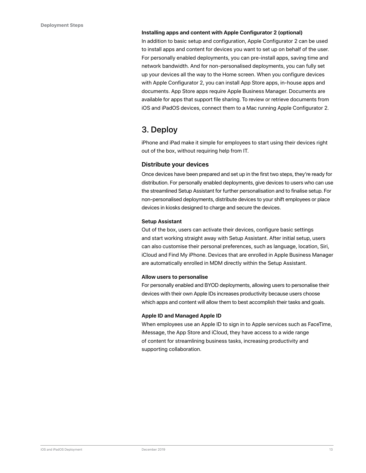#### **Installing apps and content with Apple Configurator 2 (optional)**

In addition to basic setup and configuration, Apple Configurator 2 can be used to install apps and content for devices you want to set up on behalf of the user. For personally enabled deployments, you can pre-install apps, saving time and network bandwidth. And for non-personalised deployments, you can fully set up your devices all the way to the Home screen. When you configure devices with Apple Configurator 2, you can install App Store apps, in-house apps and documents. App Store apps require Apple Business Manager. Documents are available for apps that support file sharing. To review or retrieve documents from iOS and iPadOS devices, connect them to a Mac running Apple Configurator 2.

## 3. Deploy

iPhone and iPad make it simple for employees to start using their devices right out of the box, without requiring help from IT.

#### **Distribute your devices**

Once devices have been prepared and set up in the first two steps, they're ready for distribution. For personally enabled deployments, give devices to users who can use the streamlined Setup Assistant for further personalisation and to finalise setup. For non-personalised deployments, distribute devices to your shift employees or place devices in kiosks designed to charge and secure the devices.

#### **Setup Assistant**

Out of the box, users can activate their devices, configure basic settings and start working straight away with Setup Assistant. After initial setup, users can also customise their personal preferences, such as language, location, Siri, iCloud and Find My iPhone. Devices that are enrolled in Apple Business Manager are automatically enrolled in MDM directly within the Setup Assistant.

#### **Allow users to personalise**

For personally enabled and BYOD deployments, allowing users to personalise their devices with their own Apple IDs increases productivity because users choose which apps and content will allow them to best accomplish their tasks and goals.

#### **Apple ID and Managed Apple ID**

When employees use an Apple ID to sign in to Apple services such as FaceTime, iMessage, the App Store and iCloud, they have access to a wide range of content for streamlining business tasks, increasing productivity and supporting collaboration.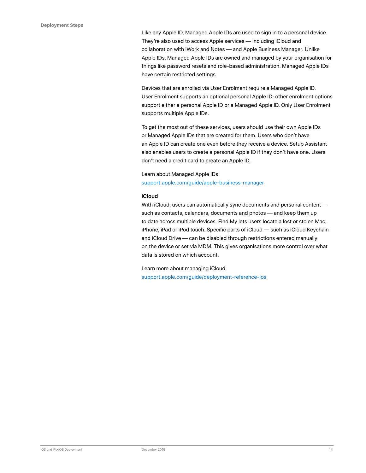Like any Apple ID, Managed Apple IDs are used to sign in to a personal device. They're also used to access Apple services — including iCloud and collaboration with iWork and Notes — and Apple Business Manager. Unlike Apple IDs, Managed Apple IDs are owned and managed by your organisation for things like password resets and role-based administration. Managed Apple IDs have certain restricted settings.

Devices that are enrolled via User Enrolment require a Managed Apple ID. User Enrolment supports an optional personal Apple ID; other enrolment options support either a personal Apple ID or a Managed Apple ID. Only User Enrolment supports multiple Apple IDs.

To get the most out of these services, users should use their own Apple IDs or Managed Apple IDs that are created for them. Users who don't have an Apple ID can create one even before they receive a device. Setup Assistant also enables users to create a personal Apple ID if they don't have one. Users don't need a credit card to create an Apple ID.

Learn about Managed Apple IDs: [support.apple.com/guide/apple-business-manager](https://support.apple.com/guide/apple-business-manager/what-are-managed-apple-ids-tes78b477c81/web)

#### **iCloud**

With iCloud, users can automatically sync documents and personal content such as contacts, calendars, documents and photos — and keep them up to date across multiple devices. Find My lets users locate a lost or stolen Mac, iPhone, iPad or iPod touch. Specific parts of iCloud — such as iCloud Keychain and iCloud Drive — can be disabled through restrictions entered manually on the device or set via MDM. This gives organisations more control over what data is stored on which account.

Learn more about managing iCloud: [support.apple.com/guide/deployment-reference-ios](https://support.apple.com/guide/deployment-reference-ios/intro-to-icloud-iorae8b637f2/web)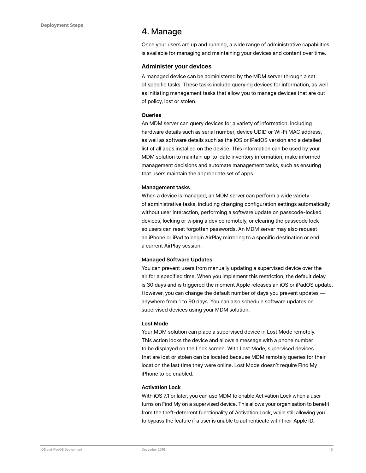### 4. Manage

Once your users are up and running, a wide range of administrative capabilities is available for managing and maintaining your devices and content over time.

#### **Administer your devices**

A managed device can be administered by the MDM server through a set of specific tasks. These tasks include querying devices for information, as well as initiating management tasks that allow you to manage devices that are out of policy, lost or stolen.

#### **Queries**

An MDM server can query devices for a variety of information, including hardware details such as serial number, device UDID or Wi-Fi MAC address, as well as software details such as the iOS or iPadOS version and a detailed list of all apps installed on the device. This information can be used by your MDM solution to maintain up-to-date inventory information, make informed management decisions and automate management tasks, such as ensuring that users maintain the appropriate set of apps.

#### **Management tasks**

When a device is managed, an MDM server can perform a wide variety of administrative tasks, including changing configuration settings automatically without user interaction, performing a software update on passcode-locked devices, locking or wiping a device remotely, or clearing the passcode lock so users can reset forgotten passwords. An MDM server may also request an iPhone or iPad to begin AirPlay mirroring to a specific destination or end a current AirPlay session.

#### **Managed Software Updates**

You can prevent users from manually updating a supervised device over the air for a specified time. When you implement this restriction, the default delay is 30 days and is triggered the moment Apple releases an iOS or iPadOS update. However, you can change the default number of days you prevent updates anywhere from 1 to 90 days. You can also schedule software updates on supervised devices using your MDM solution.

#### **Lost Mode**

Your MDM solution can place a supervised device in Lost Mode remotely. This action locks the device and allows a message with a phone number to be displayed on the Lock screen. With Lost Mode, supervised devices that are lost or stolen can be located because MDM remotely queries for their location the last time they were online. Lost Mode doesn't require Find My iPhone to be enabled.

#### **Activation Lock**

With iOS 7.1 or later, you can use MDM to enable Activation Lock when a user turns on Find My on a supervised device. This allows your organisation to benefit from the theft-deterrent functionality of Activation Lock, while still allowing you to bypass the feature if a user is unable to authenticate with their Apple ID.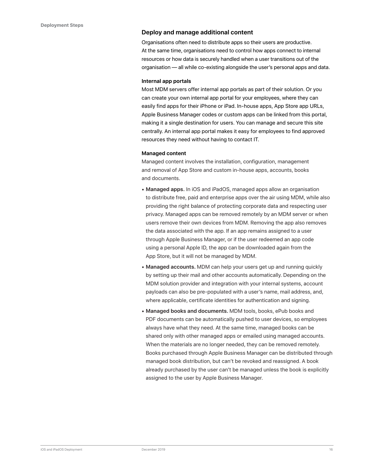#### **Deploy and manage additional content**

Organisations often need to distribute apps so their users are productive. At the same time, organisations need to control how apps connect to internal resources or how data is securely handled when a user transitions out of the organisation — all while co-existing alongside the user's personal apps and data.

#### **Internal app portals**

Most MDM servers offer internal app portals as part of their solution. Or you can create your own internal app portal for your employees, where they can easily find apps for their iPhone or iPad. In-house apps, App Store app URLs, Apple Business Manager codes or custom apps can be linked from this portal, making it a single destination for users. You can manage and secure this site centrally. An internal app portal makes it easy for employees to find approved resources they need without having to contact IT.

#### **Managed content**

Managed content involves the installation, configuration, management and removal of App Store and custom in-house apps, accounts, books and documents.

- **Managed apps.** In iOS and iPadOS, managed apps allow an organisation to distribute free, paid and enterprise apps over the air using MDM, while also providing the right balance of protecting corporate data and respecting user privacy. Managed apps can be removed remotely by an MDM server or when users remove their own devices from MDM. Removing the app also removes the data associated with the app. If an app remains assigned to a user through Apple Business Manager, or if the user redeemed an app code using a personal Apple ID, the app can be downloaded again from the App Store, but it will not be managed by MDM.
- **Managed accounts.** MDM can help your users get up and running quickly by setting up their mail and other accounts automatically. Depending on the MDM solution provider and integration with your internal systems, account payloads can also be pre-populated with a user's name, mail address, and, where applicable, certificate identities for authentication and signing.
- **Managed books and documents.** MDM tools, books, ePub books and PDF documents can be automatically pushed to user devices, so employees always have what they need. At the same time, managed books can be shared only with other managed apps or emailed using managed accounts. When the materials are no longer needed, they can be removed remotely. Books purchased through Apple Business Manager can be distributed through managed book distribution, but can't be revoked and reassigned. A book already purchased by the user can't be managed unless the book is explicitly assigned to the user by Apple Business Manager.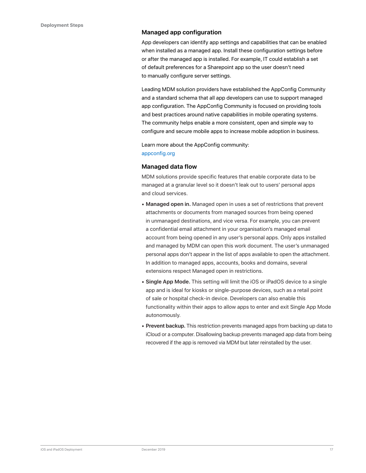#### **Managed app configuration**

App developers can identify app settings and capabilities that can be enabled when installed as a managed app. Install these configuration settings before or after the managed app is installed. For example, IT could establish a set of default preferences for a Sharepoint app so the user doesn't need to manually configure server settings.

Leading MDM solution providers have established the AppConfig Community and a standard schema that all app developers can use to support managed app configuration. The AppConfig Community is focused on providing tools and best practices around native capabilities in mobile operating systems. The community helps enable a more consistent, open and simple way to configure and secure mobile apps to increase mobile adoption in business.

Learn more about the AppConfig community: [appconfig.org](http://www.appconfig.org)

#### **Managed data flow**

MDM solutions provide specific features that enable corporate data to be managed at a granular level so it doesn't leak out to users' personal apps and cloud services.

- **Managed open in.** Managed open in uses a set of restrictions that prevent attachments or documents from managed sources from being opened in unmanaged destinations, and vice versa. For example, you can prevent a confidential email attachment in your organisation's managed email account from being opened in any user's personal apps. Only apps installed and managed by MDM can open this work document. The user's unmanaged personal apps don't appear in the list of apps available to open the attachment. In addition to managed apps, accounts, books and domains, several extensions respect Managed open in restrictions.
- **Single App Mode.** This setting will limit the iOS or iPadOS device to a single app and is ideal for kiosks or single-purpose devices, such as a retail point of sale or hospital check-in device. Developers can also enable this functionality within their apps to allow apps to enter and exit Single App Mode autonomously.
- **Prevent backup.** This restriction prevents managed apps from backing up data to iCloud or a computer. Disallowing backup prevents managed app data from being recovered if the app is removed via MDM but later reinstalled by the user.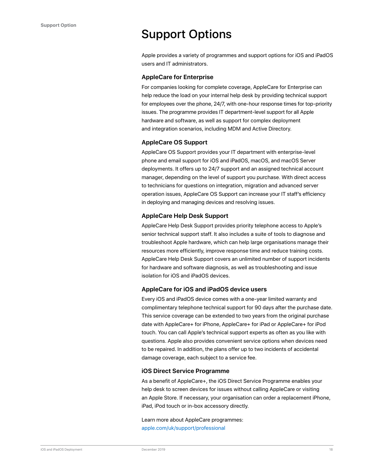# <span id="page-17-0"></span>Support Options

Apple provides a variety of programmes and support options for iOS and iPadOS users and IT administrators.

#### **AppleCare for Enterprise**

For companies looking for complete coverage, AppleCare for Enterprise can help reduce the load on your internal help desk by providing technical support for employees over the phone, 24/7, with one-hour response times for top-priority issues. The programme provides IT department-level support for all Apple hardware and software, as well as support for complex deployment and integration scenarios, including MDM and Active Directory.

#### **AppleCare OS Support**

AppleCare OS Support provides your IT department with enterprise-level phone and email support for iOS and iPadOS, macOS, and macOS Server deployments. It offers up to 24/7 support and an assigned technical account manager, depending on the level of support you purchase. With direct access to technicians for questions on integration, migration and advanced server operation issues, AppleCare OS Support can increase your IT staff's efficiency in deploying and managing devices and resolving issues.

#### **AppleCare Help Desk Support**

AppleCare Help Desk Support provides priority telephone access to Apple's senior technical support staff. It also includes a suite of tools to diagnose and troubleshoot Apple hardware, which can help large organisations manage their resources more efficiently, improve response time and reduce training costs. AppleCare Help Desk Support covers an unlimited number of support incidents for hardware and software diagnosis, as well as troubleshooting and issue isolation for iOS and iPadOS devices.

#### **AppleCare for iOS and iPadOS device users**

Every iOS and iPadOS device comes with a one-year limited warranty and complimentary telephone technical support for 90 days after the purchase date. This service coverage can be extended to two years from the original purchase date with AppleCare+ for iPhone, AppleCare+ for iPad or AppleCare+ for iPod touch. You can call Apple's technical support experts as often as you like with questions. Apple also provides convenient service options when devices need to be repaired. In addition, the plans offer up to two incidents of accidental damage coverage, each subject to a service fee.

#### **iOS Direct Service Programme**

As a benefit of AppleCare+, the iOS Direct Service Programme enables your help desk to screen devices for issues without calling AppleCare or visiting an Apple Store. If necessary, your organisation can order a replacement iPhone, iPad, iPod touch or in-box accessory directly.

Learn more about AppleCare programmes: [apple.com/uk/support/professional](http://www.apple.com/uk/support/professional)